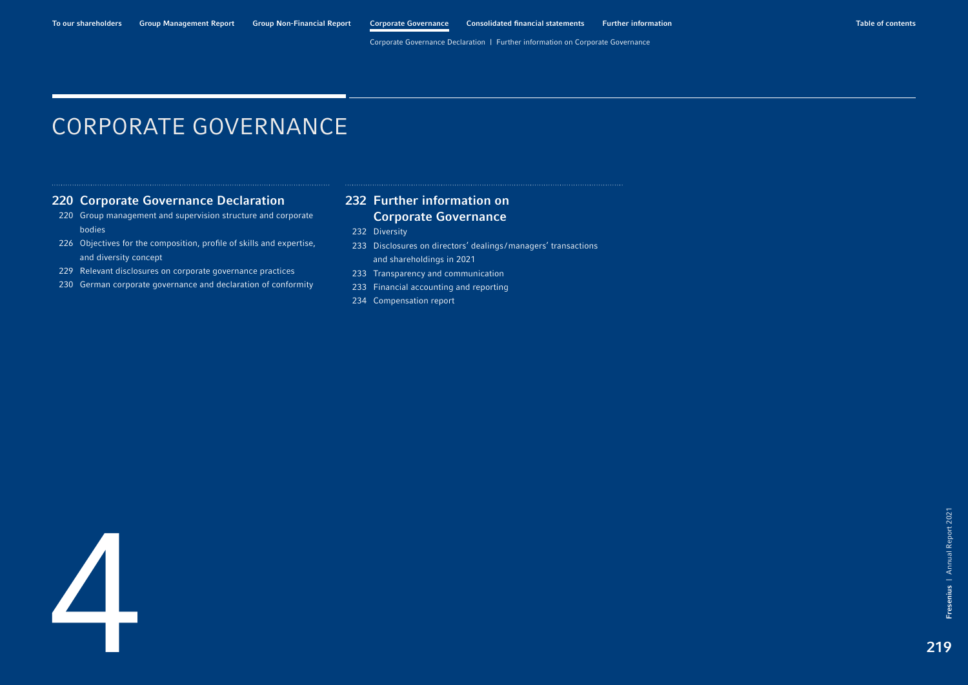# <span id="page-0-0"></span>CORPORATE GOVERNANCE

## [220 Corporate Governance Declaration](#page-1-0)

- [220 Group management and supervision structure and corporate](#page-1-0)  bodies
- [226 Objectives for the composition, profile of skills and expertise,](#page-7-0)  and diversity concept
- 229 [Relevant disclosures on corporate governance practices](#page-10-0)
- [230 German corporate governance and declaration of conformity](#page-11-0)

## [232 Further information on](#page-13-0)  Corporate Governance

- [232 Diversity](#page-13-0)
- [233 Disclosures on directors' dealings](#page-14-0)/managers' transactions and shareholdings in 2021
- 233 [Transparency and communication](#page-14-0)
- 233 [Financial accounting and reporting](#page-14-0)
- 234 Compensation report

Fresenius | Annual Report 2021

Fresenius |

Annual Report 2021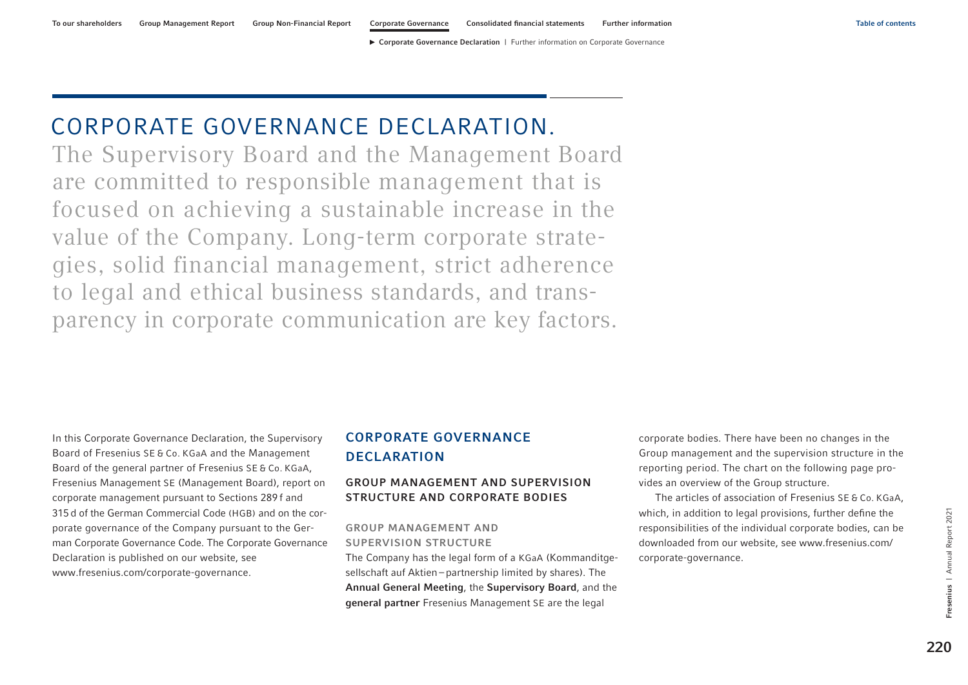▶ Corporate Governance Declaration | [Further information on Corporate Governance](#page-13-0)

# <span id="page-1-0"></span>CORPORATE GOVERNANCE DECLARATION.

The Supervisory Board and the Management Board are committed to responsible management that is focused on achieving a sustainable increase in the value of the Company. Long-term corporate strategies, solid financial management, strict adherence to legal and ethical business standards, and transparency in corporate communication are key factors.

In this Corporate Governance Declaration, the Supervisory Board of Fresenius SE & Co. KGaA and the Management Board of the general partner of Fresenius SE & Co. KGaA, Fresenius Management SE (Management Board), report on corporate management pursuant to Sections 289 f and 315d of the German Commercial Code (HGB) and on the corporate governance of the Company pursuant to the German Corporate Governance Code. The Corporate Governance Declaration is published on our website, see www.fresenius.com/corporate-governance.

# CORPORATE GOVERNANCE **DECLARATION**

## GROUP MANAGEMENT AND SUPERVISION STRUCTURE AND CORPORATE BODIES

GROUP MANAGEMENT AND SUPERVISION STRUCTURE

The Company has the legal form of a KGaA (Kommanditgesellschaft auf Aktien – partnership limited by shares). The Annual General Meeting, the Supervisory Board, and the general partner Fresenius Management SE are the legal

corporate bodies. There have been no changes in the Group management and the supervision structure in the reporting period. The chart [on the following page](#page-2-0) provides an overview of the Group structure.

The articles of association of Fresenius SE & Co. KGaA, which, in addition to legal provisions, further define the responsibilities of the individual corporate bodies, can be downloaded from our website, see [www.fresenius.com/](https://www.fresenius.com/corporate-governance) [corporate-governance.](https://www.fresenius.com/corporate-governance)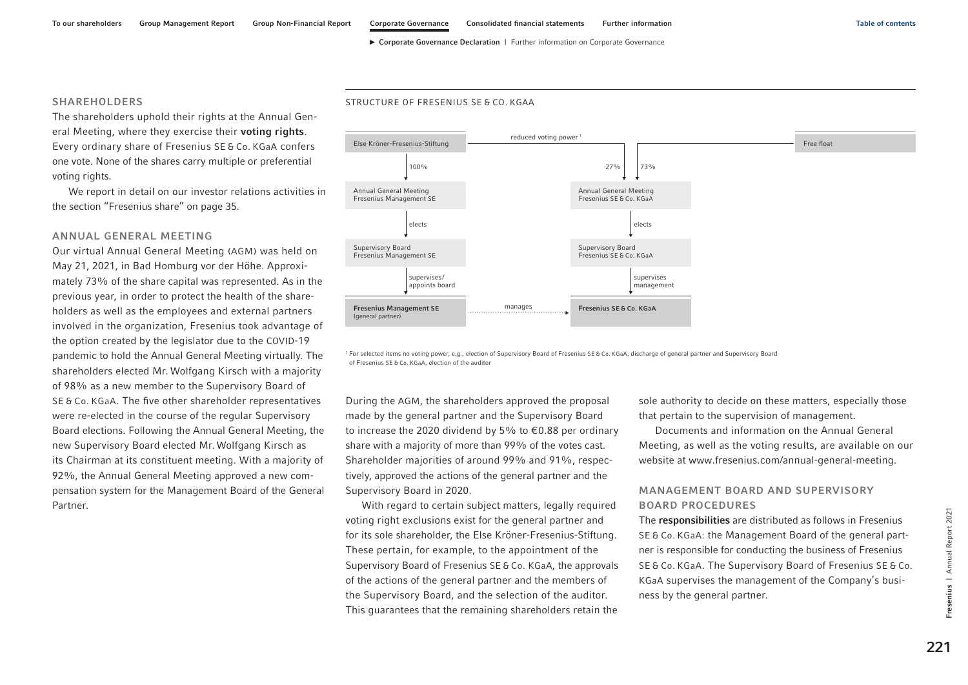#### <span id="page-2-0"></span>SHAREHOLDERS

STRUCTURE OF FRESENIUS SE & CO. KGAA

The shareholders uphold their rights at the Annual General Meeting, where they exercise their voting rights. Every ordinary share of Fresenius SE & Co. KGaA confers one vote. None of the shares carry multiple or preferential voting rights.

We report in detail on our investor relations activities in the section "Fresenius share" on page 35.

#### ANNUAL GENERAL MEETING

Our virtual Annual General Meeting (AGM) was held on May 21, 2021, in Bad Homburg vor der Höhe. Approximately 73% of the share capital was represented. As in the previous year, in order to protect the health of the shareholders as well as the employees and external partners involved in the organization, Fresenius took advantage of the option created by the legislator due to the COVID-19 pandemic to hold the Annual General Meeting virtually. The shareholders elected Mr. Wolfgang Kirsch with a majority of 98% as a new member to the Supervisory Board of SE & Co. KGaA. The five other shareholder representatives were re-elected in the course of the regular Supervisory Board elections. Following the Annual General Meeting, the new Supervisory Board elected Mr. Wolfgang Kirsch as its Chairman at its constituent meeting. With a majority of 92%, the Annual General Meeting approved a new compensation system for the Management Board of the General Partner.



<sup>1</sup> For selected items no voting power, e.g., election of Supervisory Board of Fresenius SE & Co. KGaA, discharge of general partner and Supervisory Board of Fresenius SE & Co. KGaA, election of the auditor

During the AGM, the shareholders approved the proposal made by the general partner and the Supervisory Board to increase the 2020 dividend by 5% to €0.88 per ordinary share with a majority of more than 99% of the votes cast. Shareholder majorities of around 99% and 91%, respectively, approved the actions of the general partner and the Supervisory Board in 2020.

With regard to certain subject matters, legally required voting right exclusions exist for the general partner and for its sole shareholder, the Else Kröner-Fresenius-Stiftung. These pertain, for example, to the appointment of the Supervisory Board of Fresenius SE & Co. KGaA, the approvals of the actions of the general partner and the members of the Supervisory Board, and the selection of the auditor. This guarantees that the remaining shareholders retain the sole authority to decide on these matters, especially those that pertain to the supervision of management.

Documents and information on the Annual General Meeting, as well as the voting results, are available on our website at www.fresenius.com/annual-general-meeting.

## MANAGEMENT BOARD AND SUPERVISORY BOARD PROCEDURES

The responsibilities are distributed as follows in Fresenius SE & Co. KGaA: the Management Board of the general partner is responsible for conducting the business of Fresenius SE & Co. KGaA. The Supervisory Board of Fresenius SE & Co. KGaA supervises the management of the Company's business by the general partner.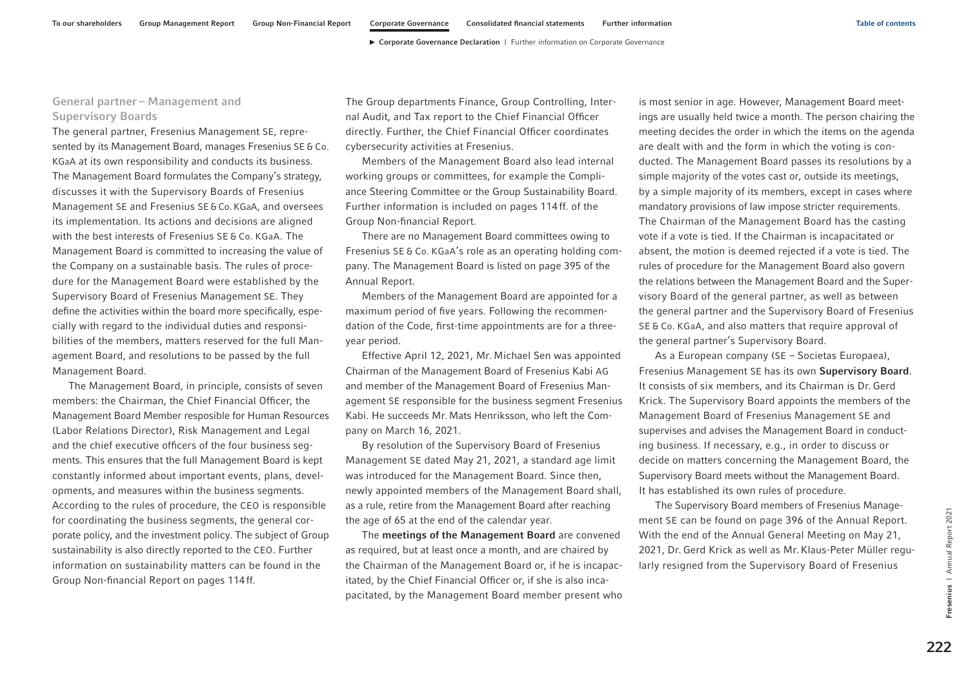## General partner – Management and Supervisory Boards

The general partner, Fresenius Management SE, represented by its Management Board, manages Fresenius SE & Co. KGaA at its own responsibility and conducts its business. The Management Board formulates the Company's strategy, discusses it with the Supervisory Boards of Fresenius Management SE and Fresenius SE&Co. KGaA, and oversees its implementation. Its actions and decisions are aligned with the best interests of Fresenius SE & Co. KGaA. The Management Board is committed to increasing the value of the Company on a sustainable basis. The rules of procedure for the Management Board were established by the Supervisory Board of Fresenius Management SE. They define the activities within the board more specifically, especially with regard to the individual duties and responsibilities of the members, matters reserved for the full Management Board, and resolutions to be passed by the full Management Board.

The Management Board, in principle, consists of seven members: the Chairman, the Chief Financial Officer, the Management Board Member resposible for Human Resources (Labor Relations Director), Risk Management and Legal and the chief executive officers of the four business segments. This ensures that the full Management Board is kept constantly informed about important events, plans, developments, and measures within the business segments. According to the rules of procedure, the CEO is responsible for coordinating the business segments, the general corporate policy, and the investment policy. The subject of Group sustainability is also directly reported to the CEO. Further information on sustainability matters can be found in the Group Non-financial Report on pages 114ff.

The Group departments Finance, Group Controlling, Internal Audit, and Tax report to the Chief Financial Officer directly. Further, the Chief Financial Officer coordinates cybersecurity activities at Fresenius.

Members of the Management Board also lead internal working groups or committees, for example the Compliance Steering Committee or the Group Sustainability Board. Further information is included on pages 114ff. of the Group Non-financial Report.

There are no Management Board committees owing to Fresenius SE & Co. KGaA's role as an operating holding company. The Management Board is listed on page 395 of the Annual Report.

Members of the Management Board are appointed for a maximum period of five years. Following the recommendation of the Code, first-time appointments are for a threeyear period.

Effective April 12, 2021, Mr. Michael Sen was appointed Chairman of the Management Board of Fresenius Kabi AG and member of the Management Board of Fresenius Management SE responsible for the business segment Fresenius Kabi. He succeeds Mr.Mats Henriksson, who left the Company on March 16, 2021.

By resolution of the Supervisory Board of Fresenius Management SE dated May 21, 2021, a standard age limit was introduced for the Management Board. Since then, newly appointed members of the Management Board shall, as a rule, retire from the Management Board after reaching the age of 65 at the end of the calendar year.

The meetings of the Management Board are convened as required, but at least once a month, and are chaired by the Chairman of the Management Board or, if he is incapacitated, by the Chief Financial Officer or, if she is also incapacitated, by the Management Board member present who is most senior in age. However, Management Board meetings are usually held twice a month. The person chairing the meeting decides the order in which the items on the agenda are dealt with and the form in which the voting is conducted. The Management Board passes its resolutions by a simple majority of the votes cast or, outside its meetings, by a simple majority of its members, except in cases where mandatory provisions of law impose stricter requirements. The Chairman of the Management Board has the casting vote if a vote is tied. If the Chairman is incapacitated or absent, the motion is deemed rejected if a vote is tied. The rules of procedure for the Management Board also govern the relations between the Management Board and the Supervisory Board of the general partner, as well as between the general partner and the Supervisory Board of Fresenius SE & Co. KGaA, and also matters that require approval of the general partner's Supervisory Board.

As a European company (SE – Societas Europaea), Fresenius Management SE has its own Supervisory Board. It consists of six members, and its Chairman is Dr. Gerd Krick. The Supervisory Board appoints the members of the Management Board of Fresenius Management SE and supervises and advises the Management Board in conducting business. If necessary, e.g., in order to discuss or decide on matters concerning the Management Board, the Supervisory Board meets without the Management Board. It has established its own rules of procedure.

The Supervisory Board members of Fresenius Management SE can be found on page 396 of the Annual Report. With the end of the Annual General Meeting on May 21, 2021, Dr. Gerd Krick as well as Mr. Klaus-Peter Müller regularly resigned from the Supervisory Board of Fresenius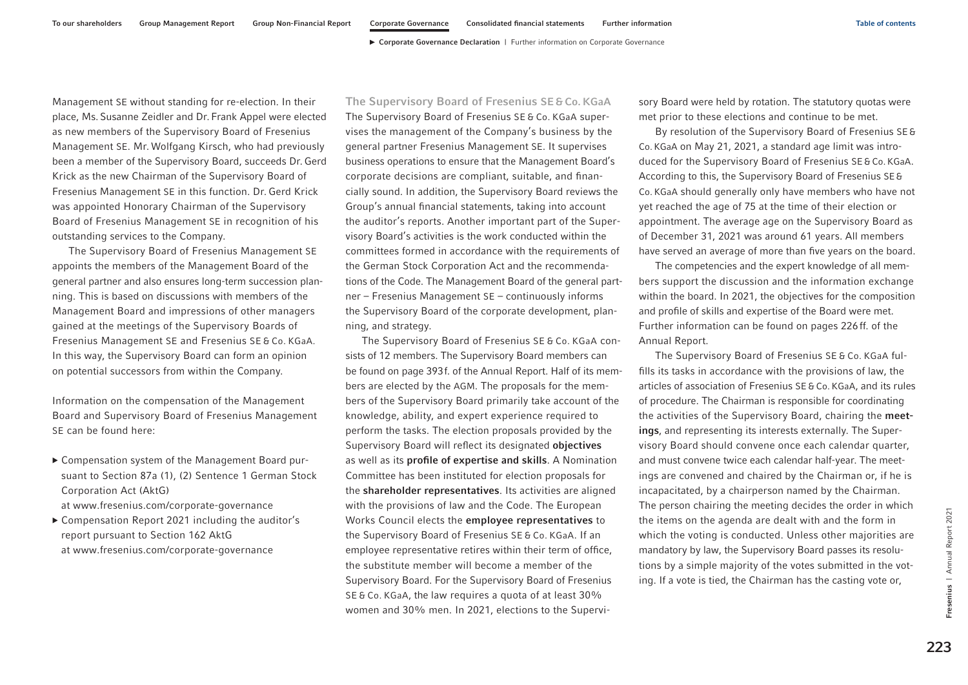Management SE without standing for re-election. In their place, Ms. Susanne Zeidler and Dr. Frank Appel were elected as new members of the Supervisory Board of Fresenius Management SE. Mr. Wolfgang Kirsch, who had previously been a member of the Supervisory Board, succeeds Dr. Gerd Krick as the new Chairman of the Supervisory Board of Fresenius Management SE in this function. Dr. Gerd Krick was appointed Honorary Chairman of the Supervisory Board of Fresenius Management SE in recognition of his outstanding services to the Company.

The Supervisory Board of Fresenius Management SE appoints the members of the Management Board of the general partner and also ensures long-term succession planning. This is based on discussions with members of the Management Board and impressions of other managers gained at the meetings of the Supervisory Boards of Fresenius Management SE and Fresenius SE & Co. KGaA. In this way, the Supervisory Board can form an opinion on potential successors from within the Company.

Information on the compensation of the Management Board and Supervisory Board of Fresenius Management SE can be found here:

- ▶ Compensation system of the Management Board pursuant to Section 87a (1), (2) Sentence 1 German Stock Corporation Act (AktG) at www.fresenius.com/corporate-governance
- ▶ Compensation Report 2021 including the auditor's report pursuant to Section 162 AktG at www.fresenius.com/corporate-governance

The Supervisory Board of Fresenius SE & Co. KGaA The Supervisory Board of Fresenius SE & Co. KGaA supervises the management of the Company's business by the general partner Fresenius Management SE. It supervises business operations to ensure that the Management Board's corporate decisions are compliant, suitable, and financially sound. In addition, the Supervisory Board reviews the Group's annual financial statements, taking into account the auditor's reports. Another important part of the Supervisory Board's activities is the work conducted within the committees formed in accordance with the requirements of the German Stock Corporation Act and the recommendations of the Code. The Management Board of the general partner – Fresenius Management SE – continuously informs the Supervisory Board of the corporate development, planning, and strategy.

The Supervisory Board of Fresenius SE & Co. KGaA consists of 12 members. The Supervisory Board members can be found on page 393f. of the Annual Report. Half of its members are elected by the AGM. The proposals for the members of the Supervisory Board primarily take account of the knowledge, ability, and expert experience required to perform the tasks. The election proposals provided by the Supervisory Board will reflect its designated objectives as well as its profile of expertise and skills. A Nomination Committee has been instituted for election proposals for the shareholder representatives. Its activities are aligned with the provisions of law and the Code. The European Works Council elects the employee representatives to the Supervisory Board of Fresenius SE & Co. KGaA. If an employee representative retires within their term of office, the substitute member will become a member of the Supervisory Board. For the Supervisory Board of Fresenius SE & Co. KGaA, the law requires a quota of at least 30% women and 30% men. In 2021, elections to the Supervisory Board were held by rotation. The statutory quotas were met prior to these elections and continue to be met.

By resolution of the Supervisory Board of Fresenius SE& Co.KGaA on May 21, 2021, a standard age limit was introduced for the Supervisory Board of Fresenius SE&Co. KGaA. According to this, the Supervisory Board of Fresenius SE& Co. KGaA should generally only have members who have not yet reached the age of 75 at the time of their election or appointment. The average age on the Supervisory Board as of December 31, 2021 was around 61 years. All members have served an average of more than five years on the board.

The competencies and the expert knowledge of all members support the discussion and the information exchange within the board. In 2021, the objectives for the composition and profile of skills and expertise of the Board were met. Further information can be found [on pages 226ff.](#page-7-0) of the Annual Report.

The Supervisory Board of Fresenius SE & Co. KGaA fulfills its tasks in accordance with the provisions of law, the articles of association of Fresenius SE & Co. KGaA, and its rules of procedure. The Chairman is responsible for coordinating the activities of the Supervisory Board, chairing the meetings, and representing its interests externally. The Supervisory Board should convene once each calendar quarter, and must convene twice each calendar half-year. The meetings are convened and chaired by the Chairman or, if he is incapacitated, by a chairperson named by the Chairman. The person chairing the meeting decides the order in which the items on the agenda are dealt with and the form in which the voting is conducted. Unless other majorities are mandatory by law, the Supervisory Board passes its resolutions by a simple majority of the votes submitted in the voting. If a vote is tied, the Chairman has the casting vote or,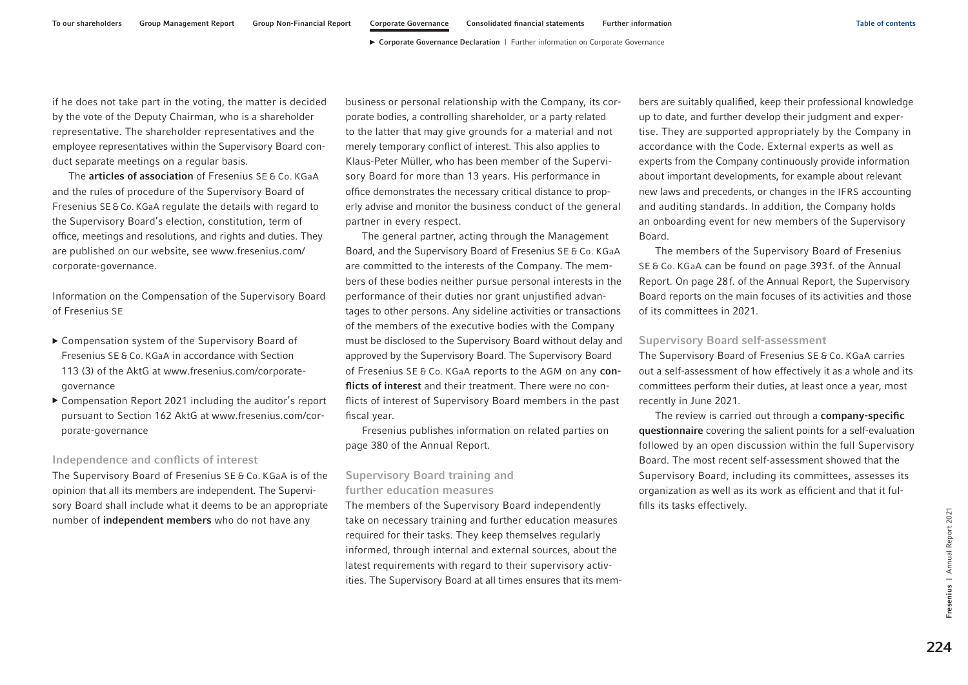if he does not take part in the voting, the matter is decided by the vote of the Deputy Chairman, who is a shareholder representative. The shareholder representatives and the employee representatives within the Supervisory Board conduct separate meetings on a regular basis.

The **articles of association** of Fresenius SE & Co. KGaA and the rules of procedure of the Supervisory Board of Fresenius SE&Co. KGaA regulate the details with regard to the Supervisory Board's election, constitution, term of office, meetings and resolutions, and rights and duties. They are published on our website, see [www.fresenius.com/](https://www.fresenius.com/corporate-governance) [corporate-governance.](https://www.fresenius.com/corporate-governance)

Information on the Compensation of the Supervisory Board of Fresenius SE

- ▶ Compensation system of the Supervisory Board of Fresenius SE & Co. KGaA in accordance with Section 113 (3) of the AktG at [www.fresenius.com/corporate](https://www.fresenius.com/corporate-governance)[governance](https://www.fresenius.com/corporate-governance)
- ▶ Compensation Report 2021 including the auditor's report pursuant to Section 162 AktG at [www.fresenius.com/cor](https://www.fresenius.com/corporate-governance)[porate-governance](https://www.fresenius.com/corporate-governance)

#### Independence and conflicts of interest

The Supervisory Board of Fresenius SE & Co. KGaA is of the opinion that all its members are independent. The Supervisory Board shall include what it deems to be an appropriate number of independent members who do not have any

business or personal relationship with the Company, its corporate bodies, a controlling shareholder, or a party related to the latter that may give grounds for a material and not merely temporary conflict of interest. This also applies to Klaus-Peter Müller, who has been member of the Supervisory Board for more than 13 years. His performance in office demonstrates the necessary critical distance to properly advise and monitor the business conduct of the general partner in every respect.

The general partner, acting through the Management Board, and the Supervisory Board of Fresenius SE & Co. KGaA are committed to the interests of the Company. The members of these bodies neither pursue personal interests in the performance of their duties nor grant unjustified advantages to other persons. Any sideline activities or transactions of the members of the executive bodies with the Company must be disclosed to the Supervisory Board without delay and approved by the Supervisory Board. The Supervisory Board of Fresenius SE & Co. KGaA reports to the AGM on any conflicts of interest and their treatment. There were no conflicts of interest of Supervisory Board members in the past fiscal year.

Fresenius publishes information on related parties on page 380 of the Annual Report.

## Supervisory Board training and further education measures

The members of the Supervisory Board independently take on necessary training and further education measures required for their tasks. They keep themselves regularly informed, through internal and external sources, about the latest requirements with regard to their supervisory activities. The Supervisory Board at all times ensures that its members are suitably qualified, keep their professional knowledge up to date, and further develop their judgment and expertise. They are supported appropriately by the Company in accordance with the Code. External experts as well as experts from the Company continuously provide information about important developments, for example about relevant new laws and precedents, or changes in the IFRS accounting and auditing standards. In addition, the Company holds an onboarding event for new members of the Supervisory Board.

The members of the Supervisory Board of Fresenius SE & Co. KGaA can be found on page 393 f. of the Annual Report. On page 28f. of the Annual Report, the Supervisory Board reports on the main focuses of its activities and those of its committees in 2021.

#### Supervisory Board self-assessment

The Supervisory Board of Fresenius SE & Co. KGaA carries out a self-assessment of how effectively it as a whole and its committees perform their duties, at least once a year, most recently in June 2021.

The review is carried out through a company-specific questionnaire covering the salient points for a self-evaluation followed by an open discussion within the full Supervisory Board. The most recent self-assessment showed that the Supervisory Board, including its committees, assesses its organization as well as its work as efficient and that it fulfills its tasks effectively.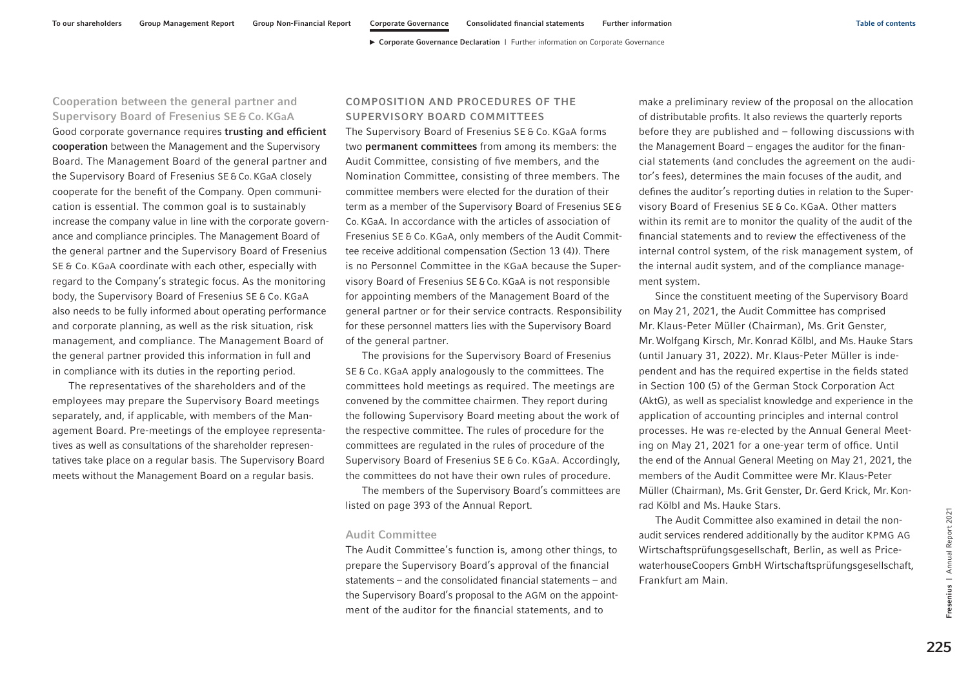## Cooperation between the general partner and Supervisory Board of Fresenius SE & Co. KGaA

Good corporate governance requires trusting and efficient cooperation between the Management and the Supervisory Board. The Management Board of the general partner and the Supervisory Board of Fresenius SE&Co. KGaA closely cooperate for the benefit of the Company. Open communication is essential. The common goal is to sustainably increase the company value in line with the corporate governance and compliance principles. The Management Board of the general partner and the Supervisory Board of Fresenius SE & Co. KGaA coordinate with each other, especially with regard to the Company's strategic focus. As the monitoring body, the Supervisory Board of Fresenius SE & Co. KGaA also needs to be fully informed about operating performance and corporate planning, as well as the risk situation, risk management, and compliance. The Management Board of the general partner provided this information in full and in compliance with its duties in the reporting period.

The representatives of the shareholders and of the employees may prepare the Supervisory Board meetings separately, and, if applicable, with members of the Management Board. Pre-meetings of the employee representatives as well as consultations of the shareholder representatives take place on a regular basis. The Supervisory Board meets without the Management Board on a regular basis.

## COMPOSITION AND PROCEDURES OF THE SUPERVISORY BOARD COMMITTEES

The Supervisory Board of Fresenius SE & Co. KGaA forms two permanent committees from among its members: the Audit Committee, consisting of five members, and the Nomination Committee, consisting of three members. The committee members were elected for the duration of their term as a member of the Supervisory Board of Fresenius SE& Co. KGaA. In accordance with the articles of association of Fresenius SE & Co. KGaA, only members of the Audit Committee receive additional compensation (Section 13 (4)). There is no Personnel Committee in the KGaA because the Supervisory Board of Fresenius SE&Co. KGaA is not responsible for appointing members of the Management Board of the general partner or for their service contracts. Responsibility for these personnel matters lies with the Supervisory Board of the general partner.

The provisions for the Supervisory Board of Fresenius SE & Co. KGaA apply analogously to the committees. The committees hold meetings as required. The meetings are convened by the committee chairmen. They report during the following Supervisory Board meeting about the work of the respective committee. The rules of procedure for the committees are regulated in the rules of procedure of the Supervisory Board of Fresenius SE & Co. KGaA. Accordingly, the committees do not have their own rules of procedure.

The members of the Supervisory Board's committees are listed on page 393 of the Annual Report.

#### Audit Committee

The Audit Committee's function is, among other things, to prepare the Supervisory Board's approval of the financial statements – and the consolidated financial statements – and the Supervisory Board's proposal to the AGM on the appointment of the auditor for the financial statements, and to

make a preliminary review of the proposal on the allocation of distributable profits. It also reviews the quarterly reports before they are published and – following discussions with the Management Board – engages the auditor for the financial statements (and concludes the agreement on the auditor's fees), determines the main focuses of the audit, and defines the auditor's reporting duties in relation to the Supervisory Board of Fresenius SE & Co. KGaA. Other matters within its remit are to monitor the quality of the audit of the financial statements and to review the effectiveness of the internal control system, of the risk management system, of the internal audit system, and of the compliance management system.

Since the constituent meeting of the Supervisory Board on May 21, 2021, the Audit Committee has comprised Mr. Klaus-Peter Müller (Chairman), Ms. Grit Genster, Mr.Wolfgang Kirsch, Mr.Konrad Kölbl, and Ms. Hauke Stars (until January 31, 2022). Mr. Klaus-Peter Müller is independent and has the required expertise in the fields stated in Section 100 (5) of the German Stock Corporation Act (AktG), as well as specialist knowledge and experience in the application of accounting principles and internal control processes. He was re-elected by the Annual General Meeting on May 21, 2021 for a one-year term of office. Until the end of the Annual General Meeting on May 21, 2021, the members of the Audit Committee were Mr. Klaus-Peter Müller (Chairman), Ms.Grit Genster, Dr.Gerd Krick, Mr.Konrad Kölbl and Ms. Hauke Stars.

The Audit Committee also examined in detail the nonaudit services rendered additionally by the auditor KPMG AG Wirtschaftsprüfungsgesellschaft, Berlin, as well as PricewaterhouseCoopers GmbH Wirtschaftsprüfungsgesellschaft, Frankfurt am Main.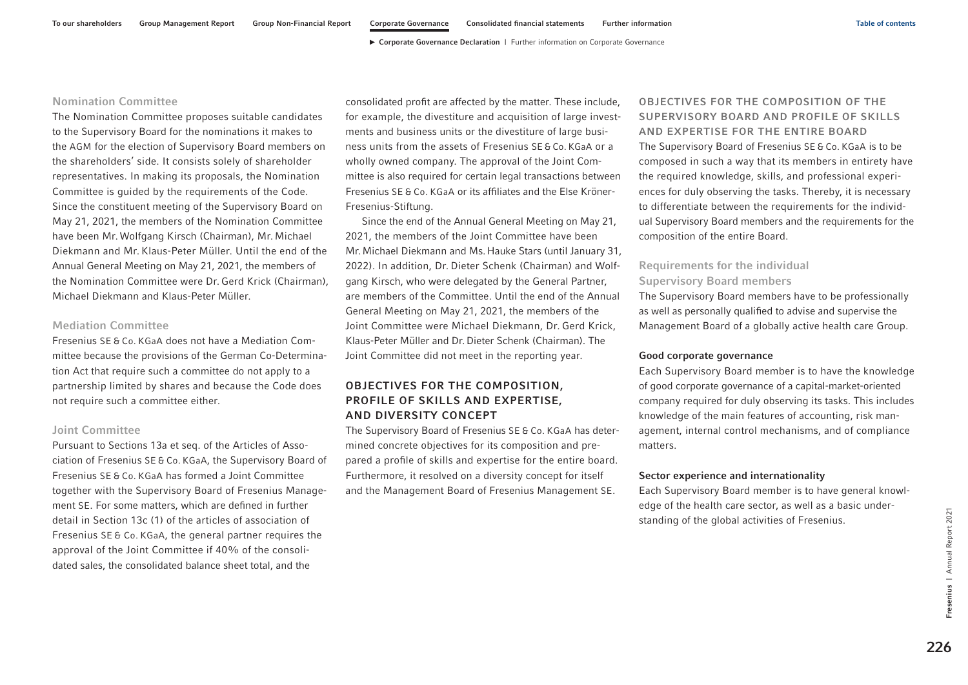#### <span id="page-7-0"></span>Nomination Committee

The Nomination Committee proposes suitable candidates to the Supervisory Board for the nominations it makes to the AGM for the election of Supervisory Board members on the shareholders' side. It consists solely of shareholder representatives. In making its proposals, the Nomination Committee is guided by the requirements of the Code. Since the constituent meeting of the Supervisory Board on May 21, 2021, the members of the Nomination Committee have been Mr. Wolfgang Kirsch (Chairman), Mr. Michael Diekmann and Mr. Klaus-Peter Müller. Until the end of the Annual General Meeting on May 21, 2021, the members of the Nomination Committee were Dr. Gerd Krick (Chairman), Michael Diekmann and Klaus-Peter Müller.

## Mediation Committee

Fresenius SE & Co. KGaA does not have a Mediation Committee because the provisions of the German Co-Determination Act that require such a committee do not apply to a partnership limited by shares and because the Code does not require such a committee either.

#### Joint Committee

Pursuant to Sections 13a et seq. of the Articles of Association of Fresenius SE & Co. KGaA, the Supervisory Board of Fresenius SE & Co. KGaA has formed a Joint Committee together with the Supervisory Board of Fresenius Management SE. For some matters, which are defined in further detail in Section 13c (1) of the articles of association of Fresenius SE & Co. KGaA, the general partner requires the approval of the Joint Committee if 40% of the consolidated sales, the consolidated balance sheet total, and the

consolidated profit are affected by the matter. These include, for example, the divestiture and acquisition of large investments and business units or the divestiture of large business units from the assets of Fresenius SE & Co. KGaA or a wholly owned company. The approval of the Joint Committee is also required for certain legal transactions between Fresenius SE & Co. KGaA or its affiliates and the Else Kröner-Fresenius-Stiftung.

Since the end of the Annual General Meeting on May 21, 2021, the members of the Joint Committee have been Mr.Michael Diekmann and Ms.Hauke Stars (until January 31, 2022). In addition, Dr. Dieter Schenk (Chairman) and Wolfgang Kirsch, who were delegated by the General Partner, are members of the Committee. Until the end of the Annual General Meeting on May 21, 2021, the members of the Joint Committee were Michael Diekmann, Dr. Gerd Krick, Klaus-Peter Müller and Dr.Dieter Schenk (Chairman). The Joint Committee did not meet in the reporting year.

## OBJECTIVES FOR THE COMPOSITION, PROFILE OF SKILLS AND EXPERTISE, AND DIVERSITY CONCEPT

The Supervisory Board of Fresenius SE & Co. KGaA has determined concrete objectives for its composition and prepared a profile of skills and expertise for the entire board. Furthermore, it resolved on a diversity concept for itself and the Management Board of Fresenius Management SE.

OBJECTIVES FOR THE COMPOSITION OF THE SUPERVISORY BOARD AND PROFILE OF SKILLS AND EXPERTISE FOR THE ENTIRE BOARD The Supervisory Board of Fresenius SE & Co. KGaA is to be composed in such a way that its members in entirety have the required knowledge, skills, and professional experiences for duly observing the tasks. Thereby, it is necessary to differentiate between the requirements for the individual Supervisory Board members and the requirements for the composition of the entire Board.

## Requirements for the individual Supervisory Board members

The Supervisory Board members have to be professionally as well as personally qualified to advise and supervise the Management Board of a globally active health care Group.

#### Good corporate governance

Each Supervisory Board member is to have the knowledge of good corporate governance of a capital-market-oriented company required for duly observing its tasks. This includes knowledge of the main features of accounting, risk management, internal control mechanisms, and of compliance matters.

#### Sector experience and internationality

Each Supervisory Board member is to have general knowledge of the health care sector, as well as a basic understanding of the global activities of Fresenius.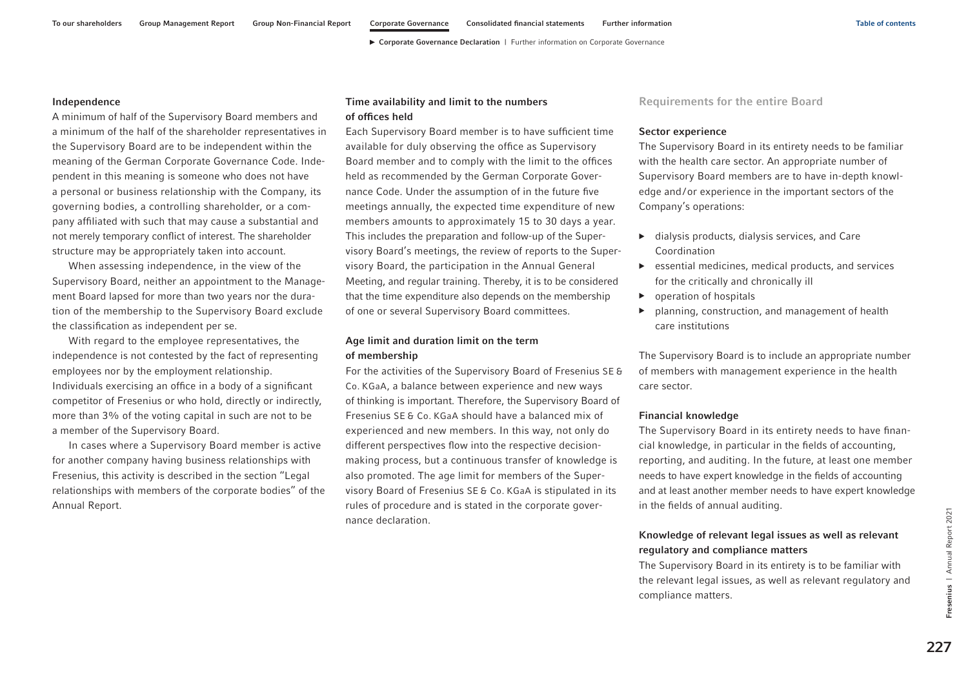#### Independence

A minimum of half of the Supervisory Board members and a minimum of the half of the shareholder representatives in the Supervisory Board are to be independent within the meaning of the German Corporate Governance Code. Independent in this meaning is someone who does not have a personal or business relationship with the Company, its governing bodies, a controlling shareholder, or a company affiliated with such that may cause a substantial and not merely temporary conflict of interest. The shareholder structure may be appropriately taken into account.

When assessing independence, in the view of the Supervisory Board, neither an appointment to the Management Board lapsed for more than two years nor the duration of the membership to the Supervisory Board exclude the classification as independent per se.

With regard to the employee representatives, the independence is not contested by the fact of representing employees nor by the employment relationship. Individuals exercising an office in a body of a significant competitor of Fresenius or who hold, directly or indirectly, more than 3% of the voting capital in such are not to be a member of the Supervisory Board.

In cases where a Supervisory Board member is active for another company having business relationships with Fresenius, this activity is described in the section "Legal relationships with members of the corporate bodies" of the Annual Report.

## Time availability and limit to the numbers of offices held

Each Supervisory Board member is to have sufficient time available for duly observing the office as Supervisory Board member and to comply with the limit to the offices held as recommended by the German Corporate Governance Code. Under the assumption of in the future five meetings annually, the expected time expenditure of new members amounts to approximately 15 to 30 days a year. This includes the preparation and follow-up of the Supervisory Board's meetings, the review of reports to the Supervisory Board, the participation in the Annual General Meeting, and regular training. Thereby, it is to be considered that the time expenditure also depends on the membership of one or several Supervisory Board committees.

## Age limit and duration limit on the term of membership

For the activities of the Supervisory Board of Fresenius SE & Co. KGaA, a balance between experience and new ways of thinking is important. Therefore, the Supervisory Board of Fresenius SE & Co. KGaA should have a balanced mix of experienced and new members. In this way, not only do different perspectives flow into the respective decisionmaking process, but a continuous transfer of knowledge is also promoted. The age limit for members of the Supervisory Board of Fresenius SE & Co. KGaA is stipulated in its rules of procedure and is stated in the corporate governance declaration.

Requirements for the entire Board

#### Sector experience

The Supervisory Board in its entirety needs to be familiar with the health care sector. An appropriate number of Supervisory Board members are to have in-depth knowledge and/or experience in the important sectors of the Company's operations:

- $\blacktriangleright$  dialysis products, dialysis services, and Care Coordination
- ▶ essential medicines, medical products, and services for the critically and chronically ill
- ▶ operation of hospitals
- ▶ planning, construction, and management of health care institutions

The Supervisory Board is to include an appropriate number of members with management experience in the health care sector.

#### Financial knowledge

The Supervisory Board in its entirety needs to have financial knowledge, in particular in the fields of accounting, reporting, and auditing. In the future, at least one member needs to have expert knowledge in the fields of accounting and at least another member needs to have expert knowledge in the fields of annual auditing.

## Knowledge of relevant legal issues as well as relevant regulatory and compliance matters

The Supervisory Board in its entirety is to be familiar with the relevant legal issues, as well as relevant regulatory and compliance matters.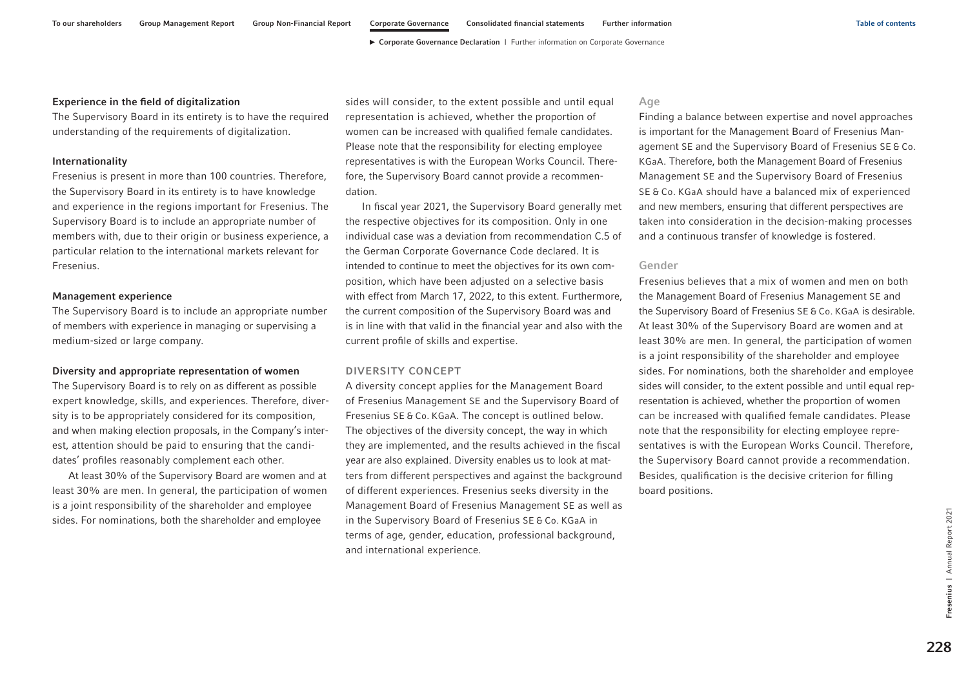#### Experience in the field of digitalization

The Supervisory Board in its entirety is to have the required understanding of the requirements of digitalization.

#### Internationality

Fresenius is present in more than 100 countries. Therefore, the Supervisory Board in its entirety is to have knowledge and experience in the regions important for Fresenius. The Supervisory Board is to include an appropriate number of members with, due to their origin or business experience, a particular relation to the international markets relevant for Fresenius.

#### Management experience

The Supervisory Board is to include an appropriate number of members with experience in managing or supervising a medium-sized or large company.

#### Diversity and appropriate representation of women

The Supervisory Board is to rely on as different as possible expert knowledge, skills, and experiences. Therefore, diversity is to be appropriately considered for its composition, and when making election proposals, in the Company's interest, attention should be paid to ensuring that the candidates' profiles reasonably complement each other.

At least 30% of the Supervisory Board are women and at least 30% are men. In general, the participation of women is a joint responsibility of the shareholder and employee sides. For nominations, both the shareholder and employee

sides will consider, to the extent possible and until equal representation is achieved, whether the proportion of women can be increased with qualified female candidates. Please note that the responsibility for electing employee representatives is with the European Works Council. Therefore, the Supervisory Board cannot provide a recommendation.

In fiscal year 2021, the Supervisory Board generally met the respective objectives for its composition. Only in one individual case was a deviation from recommendation C.5 of the German Corporate Governance Code declared. It is intended to continue to meet the objectives for its own composition, which have been adjusted on a selective basis with effect from March 17, 2022, to this extent. Furthermore, the current composition of the Supervisory Board was and is in line with that valid in the financial year and also with the current profile of skills and expertise.

#### DIVERSITY CONCEPT

A diversity concept applies for the Management Board of Fresenius Management SE and the Supervisory Board of Fresenius SE & Co. KGaA. The concept is outlined below. The objectives of the diversity concept, the way in which they are implemented, and the results achieved in the fiscal year are also explained. Diversity enables us to look at matters from different perspectives and against the background of different experiences. Fresenius seeks diversity in the Management Board of Fresenius Management SE as well as in the Supervisory Board of Fresenius SE & Co. KGaA in terms of age, gender, education, professional background, and international experience.

### Age

Finding a balance between expertise and novel approaches is important for the Management Board of Fresenius Management SE and the Supervisory Board of Fresenius SE & Co. KGaA. Therefore, both the Management Board of Fresenius Management SE and the Supervisory Board of Fresenius SE & Co. KGaA should have a balanced mix of experienced and new members, ensuring that different perspectives are taken into consideration in the decision-making processes and a continuous transfer of knowledge is fostered.

#### Gender

Fresenius believes that a mix of women and men on both the Management Board of Fresenius Management SE and the Supervisory Board of Fresenius SE & Co. KGaA is desirable. At least 30% of the Supervisory Board are women and at least 30% are men. In general, the participation of women is a joint responsibility of the shareholder and employee sides. For nominations, both the shareholder and employee sides will consider, to the extent possible and until equal representation is achieved, whether the proportion of women can be increased with qualified female candidates. Please note that the responsibility for electing employee representatives is with the European Works Council. Therefore, the Supervisory Board cannot provide a recommendation. Besides, qualification is the decisive criterion for filling board positions.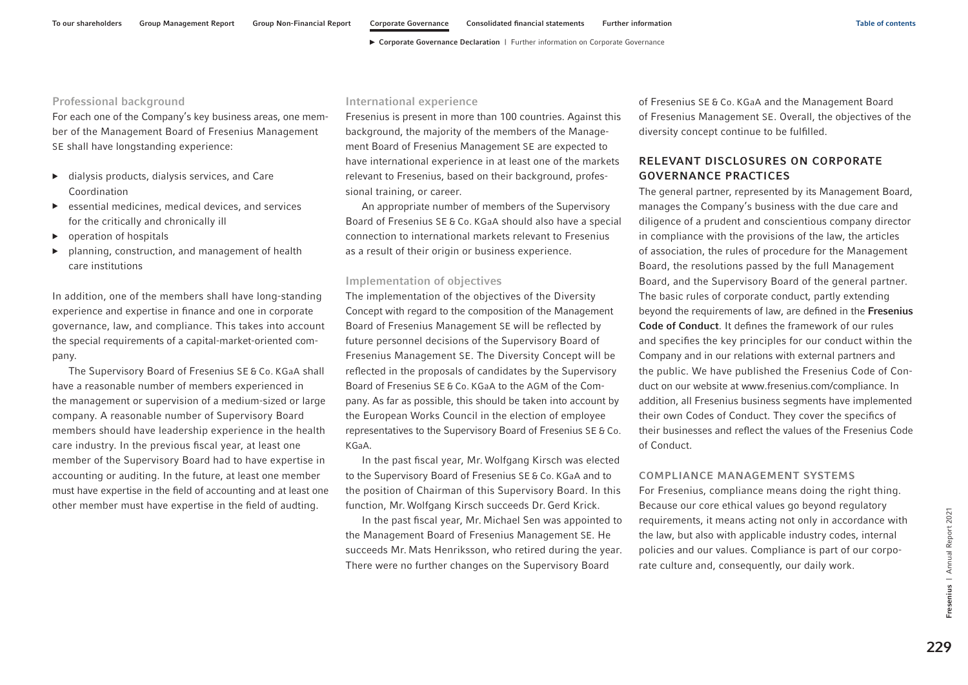#### <span id="page-10-0"></span>Professional background

For each one of the Company's key business areas, one member of the Management Board of Fresenius Management SE shall have longstanding experience:

- ▶ dialysis products, dialysis services, and Care Coordination
- $\triangleright$  essential medicines, medical devices, and services for the critically and chronically ill
- $\triangleright$  operation of hospitals
- planning, construction, and management of health care institutions

In addition, one of the members shall have long-standing experience and expertise in finance and one in corporate governance, law, and compliance. This takes into account the special requirements of a capital-market-oriented company.

The Supervisory Board of Fresenius SE & Co. KGaA shall have a reasonable number of members experienced in the management or supervision of a medium-sized or large company. A reasonable number of Supervisory Board members should have leadership experience in the health care industry. In the previous fiscal year, at least one member of the Supervisory Board had to have expertise in accounting or auditing. In the future, at least one member must have expertise in the field of accounting and at least one other member must have expertise in the field of audting.

#### International experience

Fresenius is present in more than 100 countries. Against this background, the majority of the members of the Management Board of Fresenius Management SE are expected to have international experience in at least one of the markets relevant to Fresenius, based on their background, professional training, or career.

An appropriate number of members of the Supervisory Board of Fresenius SE & Co. KGaA should also have a special connection to international markets relevant to Fresenius as a result of their origin or business experience.

#### Implementation of objectives

The implementation of the objectives of the Diversity Concept with regard to the composition of the Management Board of Fresenius Management SE will be reflected by future personnel decisions of the Supervisory Board of Fresenius Management SE. The Diversity Concept will be reflected in the proposals of candidates by the Supervisory Board of Fresenius SE & Co. KGaA to the AGM of the Company. As far as possible, this should be taken into account by the European Works Council in the election of employee representatives to the Supervisory Board of Fresenius SE & Co. KGaA.

In the past fiscal year, Mr. Wolfgang Kirsch was elected to the Supervisory Board of Fresenius SE & Co. KGaA and to the position of Chairman of this Supervisory Board. In this function, Mr. Wolfgang Kirsch succeeds Dr. Gerd Krick.

In the past fiscal year, Mr. Michael Sen was appointed to the Management Board of Fresenius Management SE. He succeeds Mr. Mats Henriksson, who retired during the year. There were no further changes on the Supervisory Board

of Fresenius SE & Co. KGaA and the Management Board of Fresenius Management SE. Overall, the objectives of the diversity concept continue to be fulfilled.

## RELEVANT DISCLOSURES ON CORPORATE GOVERNANCE PRACTICES

The general partner, represented by its Management Board, manages the Company's business with the due care and diligence of a prudent and conscientious company director in compliance with the provisions of the law, the articles of association, the rules of procedure for the Management Board, the resolutions passed by the full Management Board, and the Supervisory Board of the general partner. The basic rules of corporate conduct, partly extending beyond the requirements of law, are defined in the Fresenius Code of Conduct. It defines the framework of our rules and specifies the key principles for our conduct within the Company and in our relations with external partners and the public. We have published the Fresenius Code of Conduct on our website at www.fresenius.com/compliance. In addition, all Fresenius business segments have implemented their own Codes of Conduct. They cover the specifics of their businesses and reflect the values of the Fresenius Code of Conduct.

#### COMPLIANCE MANAGEMENT SYSTEMS

For Fresenius, compliance means doing the right thing. Because our core ethical values go beyond regulatory requirements, it means acting not only in accordance with the law, but also with applicable industry codes, internal policies and our values. Compliance is part of our corporate culture and, consequently, our daily work.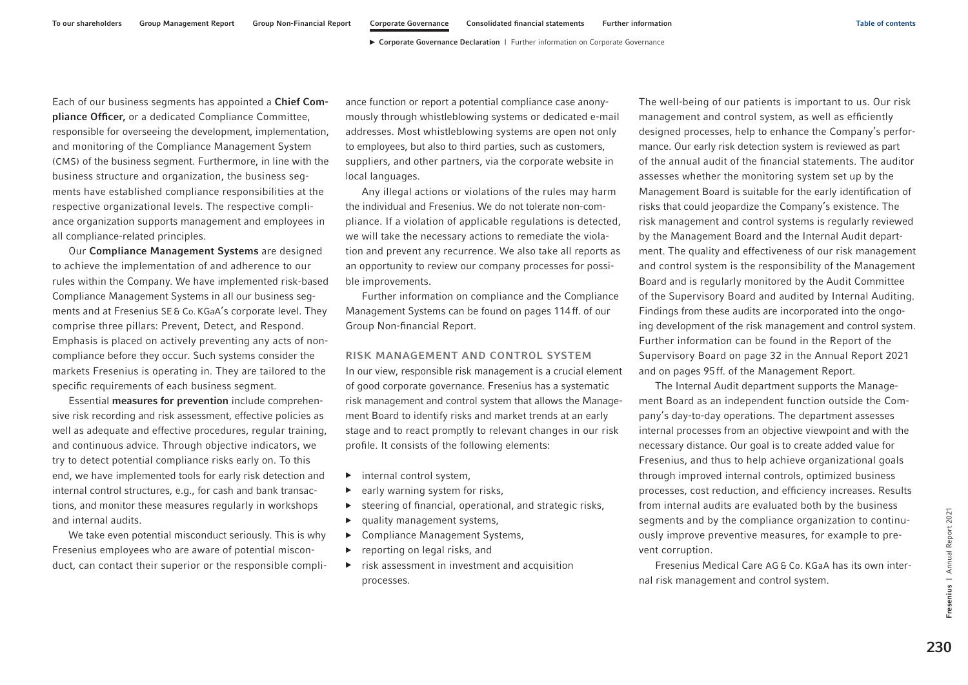<span id="page-11-0"></span>Each of our business segments has appointed a Chief Compliance Officer, or a dedicated Compliance Committee, responsible for overseeing the development, implementation, and monitoring of the Compliance Management System (CMS) of the business segment. Furthermore, in line with the business structure and organization, the business segments have established compliance responsibilities at the respective organizational levels. The respective compliance organization supports management and employees in all compliance-related principles.

Our Compliance Management Systems are designed to achieve the implementation of and adherence to our rules within the Company. We have implemented risk-based Compliance Management Systems in all our business segments and at Fresenius SE& Co.KGaA's corporate level. They comprise three pillars: Prevent, Detect, and Respond. Emphasis is placed on actively preventing any acts of noncompliance before they occur. Such systems consider the markets Fresenius is operating in. They are tailored to the specific requirements of each business segment.

Essential measures for prevention include comprehensive risk recording and risk assessment, effective policies as well as adequate and effective procedures, regular training, and continuous advice. Through objective indicators, we try to detect potential compliance risks early on. To this end, we have implemented tools for early risk detection and internal control structures, e.g., for cash and bank transactions, and monitor these measures regularly in workshops and internal audits.

We take even potential misconduct seriously. This is why Fresenius employees who are aware of potential misconduct, can contact their superior or the responsible compli-

ance function or report a potential compliance case anonymously through whistleblowing systems or dedicated e-mail addresses. Most whistleblowing systems are open not only to employees, but also to third parties, such as customers, suppliers, and other partners, via the corporate website in local languages.

Any illegal actions or violations of the rules may harm the individual and Fresenius. We do not tolerate non-compliance. If a violation of applicable regulations is detected, we will take the necessary actions to remediate the violation and prevent any recurrence. We also take all reports as an opportunity to review our company processes for possible improvements.

Further information on compliance and the Compliance Management Systems can be found on pages 114ff. of our Group Non-financial Report.

#### RISK MANAGEMENT AND CONTROL SYSTEM

In our view, responsible risk management is a crucial element of good corporate governance. Fresenius has a systematic risk management and control system that allows the Management Board to identify risks and market trends at an early stage and to react promptly to relevant changes in our risk profile. It consists of the following elements:

- ▶ internal control system,
- $\blacktriangleright$  early warning system for risks,
- ▶ steering of financial, operational, and strategic risks,
- ▶ quality management systems,
- ▶ Compliance Management Systems,
- ▶ reporting on legal risks, and
- $\triangleright$  risk assessment in investment and acquisition processes.

The well-being of our patients is important to us. Our risk management and control system, as well as efficiently designed processes, help to enhance the Company's performance. Our early risk detection system is reviewed as part of the annual audit of the financial statements. The auditor assesses whether the monitoring system set up by the Management Board is suitable for the early identification of risks that could jeopardize the Company's existence. The risk management and control systems is regularly reviewed by the Management Board and the Internal Audit department. The quality and effectiveness of our risk management and control system is the responsibility of the Management Board and is regularly monitored by the Audit Committee of the Supervisory Board and audited by Internal Auditing. Findings from these audits are incorporated into the ongoing development of the risk management and control system. Further information can be found in the Report of the Supervisory Board on page 32 in the Annual Report 2021 and on pages 95ff. of the Management Report.

The Internal Audit department supports the Management Board as an independent function outside the Company's day-to-day operations. The department assesses internal processes from an objective viewpoint and with the necessary distance. Our goal is to create added value for Fresenius, and thus to help achieve organizational goals through improved internal controls, optimized business processes, cost reduction, and efficiency increases. Results from internal audits are evaluated both by the business segments and by the compliance organization to continuously improve preventive measures, for example to prevent corruption.

Fresenius Medical Care AG & Co. KGaA has its own internal risk management and control system.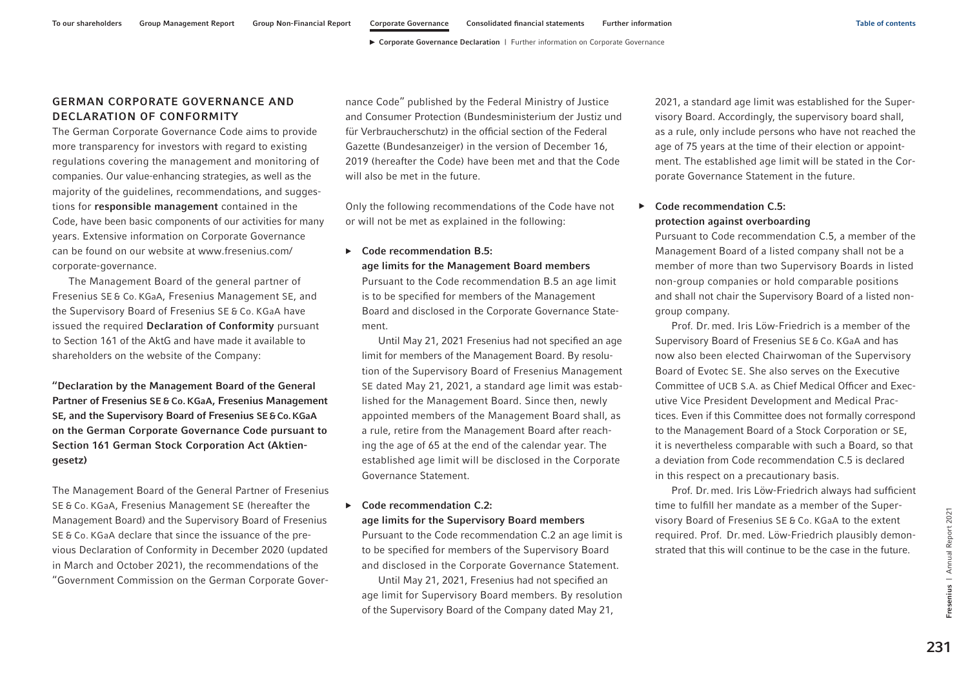## GERMAN CORPORATE GOVERNANCE AND DECLARATION OF CONFORMITY

The German Corporate Governance Code aims to provide more transparency for investors with regard to existing regulations covering the management and monitoring of companies. Our value-enhancing strategies, as well as the majority of the guidelines, recommendations, and suggestions for responsible management contained in the Code, have been basic components of our activities for many years. Extensive information on Corporate Governance can be found on our website at [www.fresenius.com/](https://www.fresenius.com/corporate-governance) [corporate-governance.](https://www.fresenius.com/corporate-governance) 

The Management Board of the general partner of Fresenius SE & Co. KGaA, Fresenius Management SE, and the Supervisory Board of Fresenius SE & Co. KGaA have issued the required Declaration of Conformity pursuant to Section 161 of the AktG and have made it available to shareholders on the website of the Company:

"Declaration by the Management Board of the General Partner of Fresenius SE & Co. KGaA, Fresenius Management SE, and the Supervisory Board of Fresenius SE&Co.KGaA on the German Corporate Governance Code pursuant to Section 161 German Stock Corporation Act (Aktiengesetz)

The Management Board of the General Partner of Fresenius SE & Co. KGaA, Fresenius Management SE (hereafter the Management Board) and the Supervisory Board of Fresenius SE & Co. KGaA declare that since the issuance of the previous Declaration of Conformity in December 2020 (updated in March and October 2021), the recommendations of the "Government Commission on the German Corporate Governance Code" published by the Federal Ministry of Justice and Consumer Protection (Bundesministerium der Justiz und für Verbraucherschutz) in the official section of the Federal Gazette (Bundesanzeiger) in the version of December 16, 2019 (hereafter the Code) have been met and that the Code will also be met in the future.

Only the following recommendations of the Code have not or will not be met as explained in the following:

#### $\triangleright$  Code recommendation B.5:

age limits for the Management Board members

Pursuant to the Code recommendation B.5 an age limit is to be specified for members of the Management Board and disclosed in the Corporate Governance Statement.

Until May 21, 2021 Fresenius had not specified an age limit for members of the Management Board. By resolution of the Supervisory Board of Fresenius Management SE dated May 21, 2021, a standard age limit was established for the Management Board. Since then, newly appointed members of the Management Board shall, as a rule, retire from the Management Board after reaching the age of 65 at the end of the calendar year. The established age limit will be disclosed in the Corporate Governance Statement.

#### $\triangleright$  Code recommendation C.2:

#### age limits for the Supervisory Board members

Pursuant to the Code recommendation C.2 an age limit is to be specified for members of the Supervisory Board and disclosed in the Corporate Governance Statement.

Until May 21, 2021, Fresenius had not specified an age limit for Supervisory Board members. By resolution of the Supervisory Board of the Company dated May 21,

2021, a standard age limit was established for the Supervisory Board. Accordingly, the supervisory board shall, as a rule, only include persons who have not reached the age of 75 years at the time of their election or appointment. The established age limit will be stated in the Corporate Governance Statement in the future.

## ▶ Code recommendation C.5: protection against overboarding

Pursuant to Code recommendation C.5, a member of the Management Board of a listed company shall not be a member of more than two Supervisory Boards in listed non-group companies or hold comparable positions and shall not chair the Supervisory Board of a listed nongroup company.

Prof. Dr. med. Iris Löw-Friedrich is a member of the Supervisory Board of Fresenius SE & Co. KGaA and has now also been elected Chairwoman of the Supervisory Board of Evotec SE. She also serves on the Executive Committee of UCB S.A. as Chief Medical Officer and Executive Vice President Development and Medical Practices. Even if this Committee does not formally correspond to the Management Board of a Stock Corporation or SE, it is nevertheless comparable with such a Board, so that a deviation from Code recommendation C.5 is declared in this respect on a precautionary basis.

Prof. Dr. med. Iris Löw-Friedrich always had sufficient time to fulfill her mandate as a member of the Supervisory Board of Fresenius SE & Co. KGaA to the extent required. Prof. Dr. med. Löw-Friedrich plausibly demonstrated that this will continue to be the case in the future.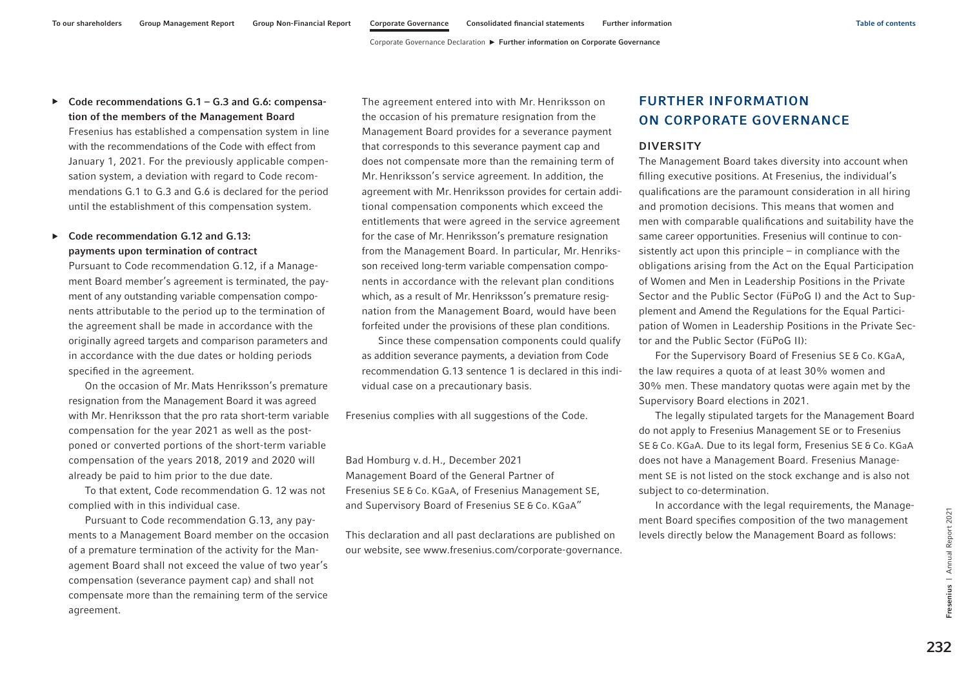## <span id="page-13-0"></span> $\triangleright$  Code recommendations G.1 – G.3 and G.6: compensation of the members of the Management Board

Fresenius has established a compensation system in line with the recommendations of the Code with effect from January 1, 2021. For the previously applicable compensation system, a deviation with regard to Code recommendations G.1 to G.3 and G.6 is declared for the period until the establishment of this compensation system.

## ▶ Code recommendation G.12 and G.13: payments upon termination of contract

Pursuant to Code recommendation G.12, if a Management Board member's agreement is terminated, the payment of any outstanding variable compensation components attributable to the period up to the termination of the agreement shall be made in accordance with the originally agreed targets and comparison parameters and in accordance with the due dates or holding periods specified in the agreement.

On the occasion of Mr. Mats Henriksson's premature resignation from the Management Board it was agreed with Mr. Henriksson that the pro rata short-term variable compensation for the year 2021 as well as the postponed or converted portions of the short-term variable compensation of the years 2018, 2019 and 2020 will already be paid to him prior to the due date.

To that extent, Code recommendation G. 12 was not complied with in this individual case.

Pursuant to Code recommendation G.13, any payments to a Management Board member on the occasion of a premature termination of the activity for the Management Board shall not exceed the value of two year's compensation (severance payment cap) and shall not compensate more than the remaining term of the service agreement.

The agreement entered into with Mr. Henriksson on the occasion of his premature resignation from the Management Board provides for a severance payment that corresponds to this severance payment cap and does not compensate more than the remaining term of Mr. Henriksson's service agreement. In addition, the agreement with Mr. Henriksson provides for certain additional compensation components which exceed the entitlements that were agreed in the service agreement for the case of Mr. Henriksson's premature resignation from the Management Board. In particular, Mr. Henriksson received long-term variable compensation components in accordance with the relevant plan conditions which, as a result of Mr. Henriksson's premature resignation from the Management Board, would have been forfeited under the provisions of these plan conditions.

Since these compensation components could qualify as addition severance payments, a deviation from Code recommendation G.13 sentence 1 is declared in this individual case on a precautionary basis.

Fresenius complies with all suggestions of the Code.

Bad Homburg v.d.H., December 2021 Management Board of the General Partner of Fresenius SE & Co. KGaA, of Fresenius Management SE, and Supervisory Board of Fresenius SE & Co. KGaA"

This declaration and all past declarations are published on our website, see www.fresenius.com/corporate-governance.

## FURTHER INFORMATION ON CORPORATE GOVERNANCE

#### DIVERSITY

The Management Board takes diversity into account when filling executive positions. At Fresenius, the individual's qualifications are the paramount consideration in all hiring and promotion decisions. This means that women and men with comparable qualifications and suitability have the same career opportunities. Fresenius will continue to consistently act upon this principle – in compliance with the obligations arising from the Act on the Equal Participation of Women and Men in Leadership Positions in the Private Sector and the Public Sector (FüPoG I) and the Act to Supplement and Amend the Regulations for the Equal Participation of Women in Leadership Positions in the Private Sector and the Public Sector (FüPoG II):

For the Supervisory Board of Fresenius SE & Co. KGaA, the law requires a quota of at least 30% women and 30% men. These mandatory quotas were again met by the Supervisory Board elections in 2021.

The legally stipulated targets for the Management Board do not apply to Fresenius Management SE or to Fresenius SE & Co. KGaA. Due to its legal form, Fresenius SE & Co. KGaA does not have a Management Board. Fresenius Management SE is not listed on the stock exchange and is also not subject to co-determination.

In accordance with the legal requirements, the Management Board specifies composition of the two management levels directly below the Management Board as follows: